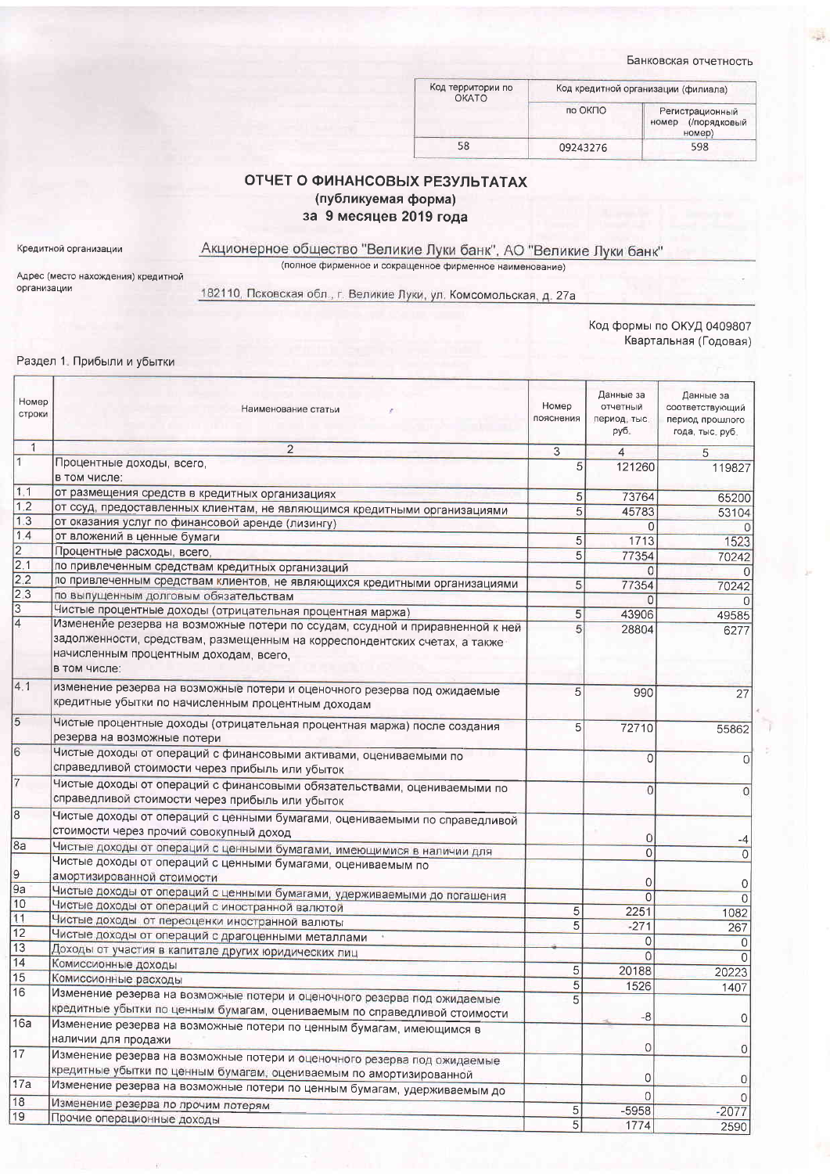Банковская отчетность

| Код территории по<br><b>OKATO</b> |          | Код кредитной организации (филиала)                |  |
|-----------------------------------|----------|----------------------------------------------------|--|
|                                   | по ОКПО  | Регистрационный<br>(/порядковый<br>номер<br>номер) |  |
| 58                                | 09243276 | 598                                                |  |

## ОТЧЕТ О ФИНАНСОВЫХ РЕЗУЛЬТАТАХ (публикуемая форма) за 9 месяцев 2019 года

Кредитной организации

Акционерное общество "Великие Луки банк", АО "Великие Луки банк" (полное фирменное и сокращенное фирменное наименование)

Адрес (место нахождения) кредитной<br>организации

182110, Псковская обл., г. Великие Луки, ул. Комсомольская, д. 27а

Код формы по ОКУД 0409807 Квартальная (Годовая)

## Раздел 1. Прибыли и убытки

| Номер<br>строки | Наименование статьи                                                                                                                                                                                                   | Номер<br>пояснения | Данные за<br>отчетный<br>период, тыс.<br>руб. | Данные за<br>соответствующий<br>период прошлого<br>года, тыс. руб. |
|-----------------|-----------------------------------------------------------------------------------------------------------------------------------------------------------------------------------------------------------------------|--------------------|-----------------------------------------------|--------------------------------------------------------------------|
| $\mathbf{1}$    | $\overline{2}$                                                                                                                                                                                                        | 3                  | $\overline{4}$                                | 5                                                                  |
| $\vert$ 1       | Процентные доходы, всего,<br>в том числе:                                                                                                                                                                             | 5                  | 121260                                        | 119827                                                             |
| 1.1             | от размещения средств в кредитных организациях                                                                                                                                                                        | 5                  | 73764                                         | 65200                                                              |
| 1.2             | от ссуд, предоставленных клиентам, не являющимся кредитными организациями                                                                                                                                             | 5                  | 45783                                         | 53104                                                              |
| 1.3             | от оказания услуг по финансовой аренде (лизингу)                                                                                                                                                                      |                    | 0                                             | O.                                                                 |
| 1.4             | от вложений в ценные бумаги                                                                                                                                                                                           | 5                  | 1713                                          | 1523                                                               |
| $\overline{2}$  | Процентные расходы, всего,                                                                                                                                                                                            | 5                  | 77354                                         | 70242                                                              |
| 2.1             | по привлеченным средствам кредитных организаций                                                                                                                                                                       |                    | $\Omega$                                      | 0                                                                  |
| 2.2             | по привлеченным средствам клиентов, не являющихся кредитными организациями                                                                                                                                            | 5                  | 77354                                         | 70242                                                              |
| 2.3             | по выпущенным долговым обязательствам                                                                                                                                                                                 |                    | O                                             | 0                                                                  |
| 3               | Чистые процентные доходы (отрицательная процентная маржа)                                                                                                                                                             | 5                  | 43906                                         | 49585                                                              |
| $\overline{4}$  | Изменение резерва на возможные потери по ссудам, ссудной и приравненной к ней<br>задолженности, средствам, размещенным на корреспондентских счетах, а также<br>начисленным процентным доходам, всего,<br>в том числе: | 5                  | 28804                                         | 6277                                                               |
| 4.1             | изменение резерва на возможные потери и оценочного резерва под ожидаемые<br>кредитные убытки по начисленным процентным доходам                                                                                        | 5                  | 990                                           | 27                                                                 |
| 5               | Чистые процентные доходы (отрицательная процентная маржа) после создания<br>резерва на возможные потери                                                                                                               | 5 <sup>5</sup>     | 72710                                         | 55862                                                              |
| $\overline{6}$  | Чистые доходы от операций с финансовыми активами, оцениваемыми по<br>справедливой стоимости через прибыль или убыток                                                                                                  |                    | $\overline{0}$                                | 0                                                                  |
| 7               | Чистые доходы от операций с финансовыми обязательствами, оцениваемыми по<br>справедливой стоимости через прибыль или убыток                                                                                           |                    | 0                                             | $\Omega$                                                           |
| 8               | Чистые доходы от операций с ценными бумагами, оцениваемыми по справедливой<br>стоимости через прочий совокупный доход                                                                                                 |                    | 0                                             |                                                                    |
| 8a              | Чистые доходы от операций с ценными бумагами, имеющимися в наличии для                                                                                                                                                |                    | $\overline{0}$                                | -4<br>$\circ$                                                      |
| 9               | Чистые доходы от операций с ценными бумагами, оцениваемым по<br>амортизированной стоимости                                                                                                                            |                    | 0                                             | 0                                                                  |
| 9a              | Чистые доходы от операций с ценными бумагами, удерживаемыми до погашения                                                                                                                                              |                    | $\overline{0}$                                | $\Omega$                                                           |
| 10              | Чистые доходы от операций с иностранной валютой                                                                                                                                                                       | 5                  | 2251                                          | 1082                                                               |
| 11              | Чистые доходы от переоценки иностранной валюты                                                                                                                                                                        | 5                  | $-271$                                        | 267                                                                |
| 12              | Чистые доходы от операций с драгоценными металлами                                                                                                                                                                    |                    | 0                                             | 0                                                                  |
| 13              | Доходы от участия в капитале других юридических лиц                                                                                                                                                                   |                    | $\mathbf{0}$                                  |                                                                    |
| 14              | Комиссионные доходы                                                                                                                                                                                                   | 5                  | 20188                                         | 20223                                                              |
| 15<br>16        | Комиссионные расходы                                                                                                                                                                                                  | 5                  | 1526                                          | 1407                                                               |
|                 | Изменение резерва на возможные потери и оценочного резерва под ожидаемые<br>кредитные убытки по ценным бумагам, оцениваемым по справедливой стоимости                                                                 | 5                  | $-8$                                          |                                                                    |
| 16a             | Изменение резерва на возможные потери по ценным бумагам, имеющимся в<br>наличии для продажи                                                                                                                           |                    |                                               | 0                                                                  |
| 17              | Изменение резерва на возможные потери и оценочного резерва под ожидаемые<br>кредитные убытки по ценным бумагам, оцениваемым по амортизированной                                                                       |                    | 0                                             | 0                                                                  |
| 17a             | Изменение резерва на возможные потери по ценным бумагам, удерживаемым до                                                                                                                                              |                    | 0<br>$\Omega$                                 | $\overline{0}$                                                     |
| 18              | Изменение резерва по прочим потерям                                                                                                                                                                                   | 5                  | $-5958$                                       | $-2077$                                                            |
| 19              | Прочие операционные доходы                                                                                                                                                                                            | 5                  | 1774                                          | 2590                                                               |